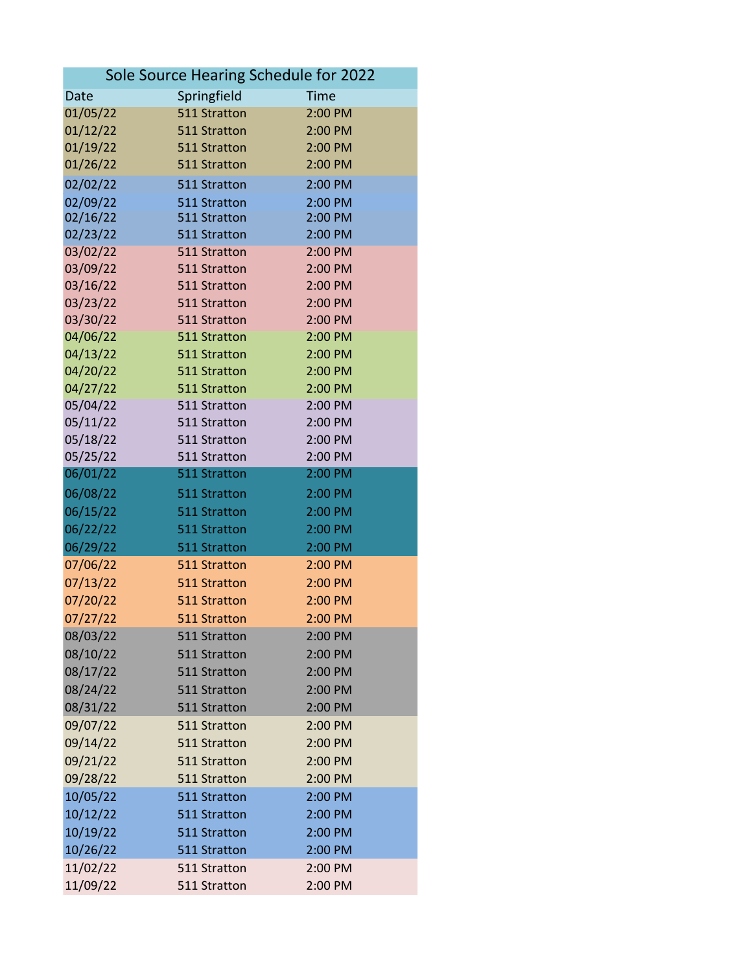| Sole Source Hearing Schedule for 2022 |                              |                    |  |
|---------------------------------------|------------------------------|--------------------|--|
| Date                                  | Springfield                  | <b>Time</b>        |  |
| 01/05/22                              | 511 Stratton                 | 2:00 PM            |  |
| 01/12/22                              | 511 Stratton                 | 2:00 PM            |  |
| 01/19/22                              | 511 Stratton                 | 2:00 PM            |  |
| 01/26/22                              | 511 Stratton                 | 2:00 PM            |  |
| 02/02/22                              | 511 Stratton                 | 2:00 PM            |  |
| 02/09/22                              | 511 Stratton                 | 2:00 PM            |  |
| 02/16/22                              | 511 Stratton                 | 2:00 PM            |  |
| 02/23/22                              | 511 Stratton                 | 2:00 PM            |  |
| 03/02/22                              | 511 Stratton                 | 2:00 PM            |  |
| 03/09/22                              | 511 Stratton                 | 2:00 PM            |  |
| 03/16/22                              | 511 Stratton                 | 2:00 PM            |  |
| 03/23/22                              | 511 Stratton                 | 2:00 PM            |  |
| 03/30/22                              | 511 Stratton                 | 2:00 PM            |  |
| 04/06/22                              | 511 Stratton                 | 2:00 PM            |  |
| 04/13/22                              | 511 Stratton                 | 2:00 PM            |  |
| 04/20/22                              | 511 Stratton                 | 2:00 PM            |  |
| 04/27/22                              | 511 Stratton                 | 2:00 PM            |  |
| 05/04/22                              | 511 Stratton                 | 2:00 PM            |  |
| 05/11/22                              | 511 Stratton                 | 2:00 PM            |  |
| 05/18/22                              | 511 Stratton                 | 2:00 PM            |  |
| 05/25/22<br>06/01/22                  | 511 Stratton<br>511 Stratton | 2:00 PM<br>2:00 PM |  |
| 06/08/22                              | 511 Stratton                 | 2:00 PM            |  |
| 06/15/22                              | 511 Stratton                 | 2:00 PM            |  |
|                                       |                              |                    |  |
| 06/22/22                              | 511 Stratton                 | 2:00 PM            |  |
| 06/29/22                              | 511 Stratton<br>511 Stratton | 2:00 PM            |  |
| 07/06/22                              | 511 Stratton                 | 2:00 PM            |  |
| 07/13/22                              | 511 Stratton                 | 2:00 PM<br>2:00 PM |  |
| 07/20/22                              |                              | 2:00 PM            |  |
| 07/27/22                              | 511 Stratton                 |                    |  |
| 08/03/22                              | 511 Stratton                 | 2:00 PM            |  |
| 08/10/22                              | 511 Stratton                 | 2:00 PM            |  |
| 08/17/22                              | 511 Stratton                 | 2:00 PM            |  |
| 08/24/22                              | 511 Stratton                 | 2:00 PM            |  |
| 08/31/22                              | 511 Stratton                 | 2:00 PM            |  |
| 09/07/22                              | 511 Stratton                 | 2:00 PM            |  |
| 09/14/22                              | 511 Stratton                 | 2:00 PM            |  |
| 09/21/22                              | 511 Stratton                 | 2:00 PM            |  |
| 09/28/22                              | 511 Stratton                 | 2:00 PM            |  |
| 10/05/22                              | 511 Stratton                 | 2:00 PM            |  |
| 10/12/22                              | 511 Stratton                 | 2:00 PM            |  |
| 10/19/22                              | 511 Stratton                 | 2:00 PM            |  |
| 10/26/22                              | 511 Stratton                 | 2:00 PM            |  |
| 11/02/22                              | 511 Stratton                 | 2:00 PM            |  |
| 11/09/22                              | 511 Stratton                 | 2:00 PM            |  |